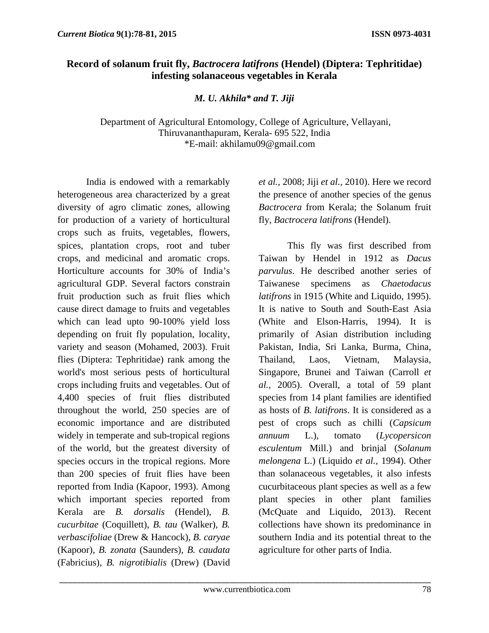## **Record of solanum fruit fly,** *Bactrocera latifrons* **(Hendel) (Diptera: Tephritidae) infesting solanaceous vegetables in Kerala**

*M. U. Akhila\* and T. Jiji* 

 Department of Agricultural Entomology, College of Agriculture, Vellayani, Thiruvananthapuram, Kerala- 695 522, India \*E-mail: akhilamu09@gmail.com

India is endowed with a remarkably heterogeneous area characterized by a great diversity of agro climatic zones, allowing for production of a variety of horticultural crops such as fruits, vegetables, flowers, spices, plantation crops, root and tuber crops, and medicinal and aromatic crops. Horticulture accounts for 30% of India's agricultural GDP. Several factors constrain fruit production such as fruit flies which cause direct damage to fruits and vegetables which can lead upto 90-100% yield loss depending on fruit fly population, locality, variety and season (Mohamed, 2003). Fruit flies (Diptera: Tephritidae) rank among the world's most serious pests of horticultural crops including fruits and vegetables. Out of 4,400 species of fruit flies distributed throughout the world, 250 species are of economic importance and are distributed widely in temperate and sub-tropical regions of the world, but the greatest diversity of species occurs in the tropical regions. More than 200 species of fruit flies have been reported from India (Kapoor, 1993). Among which important species reported from Kerala are *B. dorsalis* (Hendel), *B. cucurbitae* (Coquillett), *B. tau* (Walker), *B. verbascifoliae* (Drew & Hancock), *B. caryae* (Kapoor), *B. zonata* (Saunders), *B. caudata* (Fabricius), *B. nigrotibialis* (Drew) (David *et al.,* 2008; Jiji *et al.,* 2010). Here we record the presence of another species of the genus *Bactrocera* from Kerala; the Solanum fruit fly, *Bactrocera latifrons* (Hendel).

 This fly was first described from Taiwan by Hendel in 1912 as *Dacus parvulus*. He described another series of Taiwanese specimens as *Chaetodacus latifrons* in 1915 (White and Liquido, 1995). It is native to South and South-East Asia (White and Elson-Harris, 1994). It is primarily of Asian distribution including Pakistan, India, Sri Lanka, Burma, China, Thailand, Laos, Vietnam, Malaysia, Singapore, Brunei and Taiwan (Carroll *et al.,* 2005). Overall, a total of 59 plant species from 14 plant families are identified as hosts of *B. latifrons*. It is considered as a pest of crops such as chilli (*Capsicum annuum* L.), tomato (*Lycopersicon esculentum* Mill.) and brinjal (*Solanum melongena* L.) (Liquido *et al.,* 1994). Other than solanaceous vegetables, it also infests cucurbitaceous plant species as well as a few plant species in other plant families (McQuate and Liquido, 2013). Recent collections have shown its predominance in southern India and its potential threat to the agriculture for other parts of India.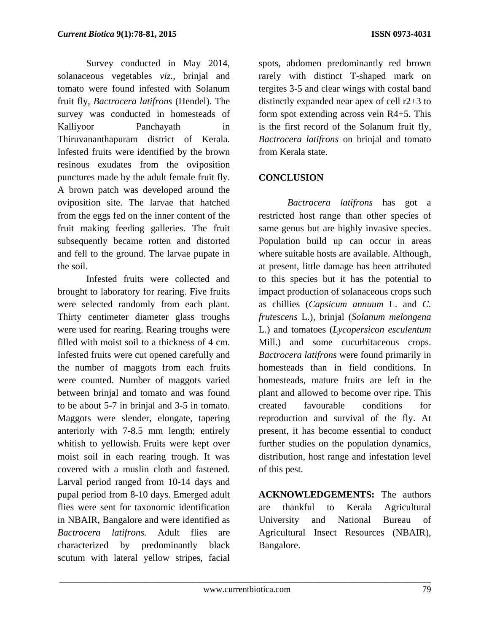the soil.

 Survey conducted in May 2014, solanaceous vegetables *viz.,* brinjal and tomato were found infested with Solanum fruit fly, *Bactrocera latifrons* (Hendel). The survey was conducted in homesteads of Kalliyoor Panchayath in Thiruvananthapuram district of Kerala. Infested fruits were identified by the brown resinous exudates from the oviposition punctures made by the adult female fruit fly. A brown patch was developed around the oviposition site. The larvae that hatched from the eggs fed on the inner content of the fruit making feeding galleries. The fruit subsequently became rotten and distorted and fell to the ground. The larvae pupate in

 Infested fruits were collected and brought to laboratory for rearing. Five fruits were selected randomly from each plant. Thirty centimeter diameter glass troughs were used for rearing. Rearing troughs were filled with moist soil to a thickness of 4 cm. Infested fruits were cut opened carefully and the number of maggots from each fruits were counted. Number of maggots varied between brinjal and tomato and was found to be about 5-7 in brinjal and 3-5 in tomato. Maggots were slender, elongate, tapering anteriorly with 7-8.5 mm length; entirely whitish to yellowish. Fruits were kept over moist soil in each rearing trough. It was covered with a muslin cloth and fastened. Larval period ranged from 10-14 days and pupal period from 8-10 days. Emerged adult flies were sent for taxonomic identification in NBAIR, Bangalore and were identified as *Bactrocera latifrons.* Adult flies are characterized by predominantly black scutum with lateral yellow stripes, facial

spots, abdomen predominantly red brown rarely with distinct T-shaped mark on tergites 3-5 and clear wings with costal band distinctly expanded near apex of cell r2+3 to form spot extending across vein R4+5. This is the first record of the Solanum fruit fly, *Bactrocera latifrons* on brinjal and tomato from Kerala state.

## **CONCLUSION**

*Bactrocera latifrons* has got a restricted host range than other species of same genus but are highly invasive species. Population build up can occur in areas where suitable hosts are available. Although, at present, little damage has been attributed to this species but it has the potential to impact production of solanaceous crops such as chillies (*Capsicum annuum* L. and *C. frutescens* L.), brinjal (*Solanum melongena* L.) and tomatoes (*Lycopersicon esculentum* Mill.) and some cucurbitaceous crops. *Bactrocera latifrons* were found primarily in homesteads than in field conditions. In homesteads, mature fruits are left in the plant and allowed to become over ripe. This created favourable conditions for reproduction and survival of the fly. At present, it has become essential to conduct further studies on the population dynamics, distribution, host range and infestation level of this pest.

**ACKNOWLEDGEMENTS:** The authors are thankful to Kerala Agricultural University and National Bureau of Agricultural Insect Resources (NBAIR), Bangalore.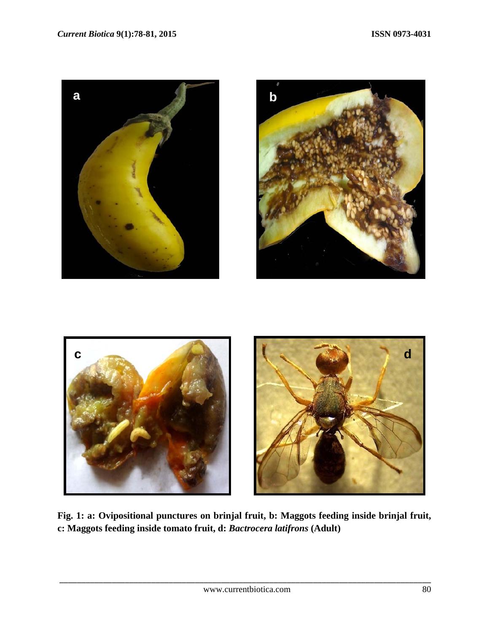

**Fig. 1: a: Ovipositional punctures on brinjal fruit, b: Maggots feeding inside brinjal fruit, c: Maggots feeding inside tomato fruit, d:** *Bactrocera latifrons* **(Adult)**